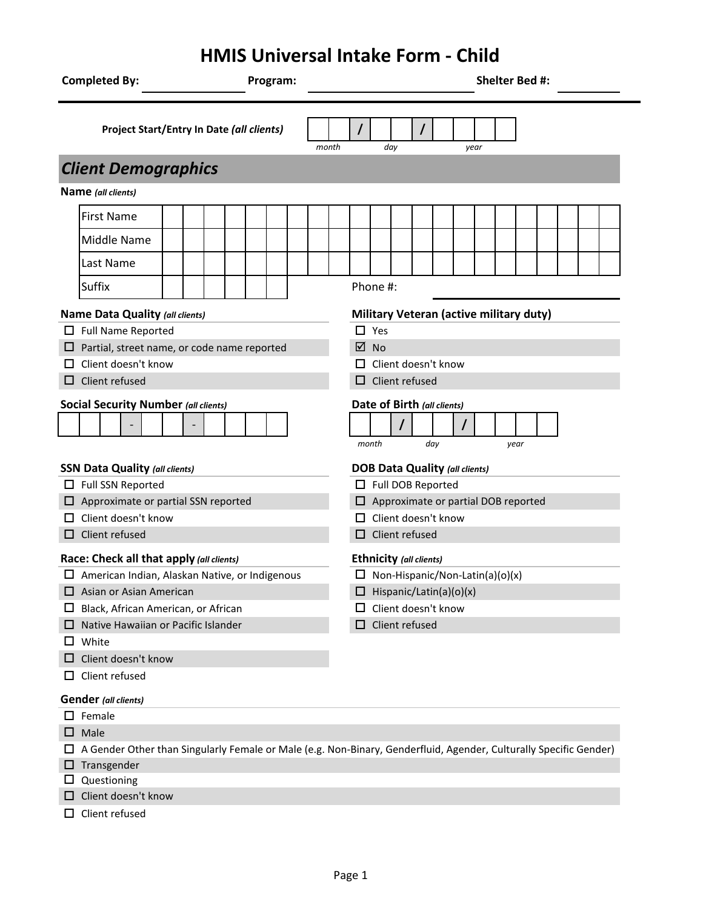## **HMIS Universal Intake Form - Child**

| <b>Completed By:</b><br>Program:            |                                                                                                                   |  |  |  |                                                            |  |                             | <b>Shelter Bed #:</b>                                                    |                            |                       |          |       |  |  |     |  |  |  |      |  |  |  |  |  |
|---------------------------------------------|-------------------------------------------------------------------------------------------------------------------|--|--|--|------------------------------------------------------------|--|-----------------------------|--------------------------------------------------------------------------|----------------------------|-----------------------|----------|-------|--|--|-----|--|--|--|------|--|--|--|--|--|
| Project Start/Entry In Date (all clients)   |                                                                                                                   |  |  |  |                                                            |  |                             | month                                                                    | day<br>year                |                       |          |       |  |  |     |  |  |  |      |  |  |  |  |  |
|                                             | <b>Client Demographics</b>                                                                                        |  |  |  |                                                            |  |                             |                                                                          |                            |                       |          |       |  |  |     |  |  |  |      |  |  |  |  |  |
|                                             | Name (all clients)                                                                                                |  |  |  |                                                            |  |                             |                                                                          |                            |                       |          |       |  |  |     |  |  |  |      |  |  |  |  |  |
|                                             | <b>First Name</b>                                                                                                 |  |  |  |                                                            |  |                             |                                                                          |                            |                       |          |       |  |  |     |  |  |  |      |  |  |  |  |  |
|                                             | Middle Name                                                                                                       |  |  |  |                                                            |  |                             |                                                                          |                            |                       |          |       |  |  |     |  |  |  |      |  |  |  |  |  |
|                                             | Last Name                                                                                                         |  |  |  |                                                            |  |                             |                                                                          |                            |                       |          |       |  |  |     |  |  |  |      |  |  |  |  |  |
|                                             | Suffix                                                                                                            |  |  |  |                                                            |  |                             |                                                                          |                            |                       | Phone #: |       |  |  |     |  |  |  |      |  |  |  |  |  |
| Name Data Quality (all clients)             |                                                                                                                   |  |  |  | Military Veteran (active military duty)                    |  |                             |                                                                          |                            |                       |          |       |  |  |     |  |  |  |      |  |  |  |  |  |
|                                             | Full Name Reported                                                                                                |  |  |  |                                                            |  | $\Box$ Yes                  |                                                                          |                            |                       |          |       |  |  |     |  |  |  |      |  |  |  |  |  |
|                                             | Partial, street name, or code name reported                                                                       |  |  |  |                                                            |  |                             | ☑<br><b>No</b>                                                           |                            |                       |          |       |  |  |     |  |  |  |      |  |  |  |  |  |
|                                             | Client doesn't know                                                                                               |  |  |  |                                                            |  |                             |                                                                          | $\Box$ Client doesn't know |                       |          |       |  |  |     |  |  |  |      |  |  |  |  |  |
| ப                                           | Client refused                                                                                                    |  |  |  |                                                            |  |                             |                                                                          |                            | $\Box$ Client refused |          |       |  |  |     |  |  |  |      |  |  |  |  |  |
| <b>Social Security Number (all clients)</b> |                                                                                                                   |  |  |  |                                                            |  | Date of Birth (all clients) |                                                                          |                            |                       |          |       |  |  |     |  |  |  |      |  |  |  |  |  |
|                                             |                                                                                                                   |  |  |  |                                                            |  |                             |                                                                          |                            |                       |          |       |  |  |     |  |  |  |      |  |  |  |  |  |
|                                             |                                                                                                                   |  |  |  |                                                            |  |                             |                                                                          |                            |                       |          | month |  |  | day |  |  |  | year |  |  |  |  |  |
| <b>SSN Data Quality (all clients)</b>       |                                                                                                                   |  |  |  | <b>DOB Data Quality (all clients)</b><br>Full DOB Reported |  |                             |                                                                          |                            |                       |          |       |  |  |     |  |  |  |      |  |  |  |  |  |
|                                             | Full SSN Reported<br>$\Box$ Approximate or partial SSN reported                                                   |  |  |  |                                                            |  |                             | $\Box$ Approximate or partial DOB reported                               |                            |                       |          |       |  |  |     |  |  |  |      |  |  |  |  |  |
|                                             | $\Box$ Client doesn't know                                                                                        |  |  |  |                                                            |  |                             | Client doesn't know<br>$\Box$                                            |                            |                       |          |       |  |  |     |  |  |  |      |  |  |  |  |  |
|                                             | $\Box$ Client refused                                                                                             |  |  |  |                                                            |  |                             | $\Box$ Client refused                                                    |                            |                       |          |       |  |  |     |  |  |  |      |  |  |  |  |  |
|                                             |                                                                                                                   |  |  |  |                                                            |  |                             |                                                                          |                            |                       |          |       |  |  |     |  |  |  |      |  |  |  |  |  |
|                                             | Race: Check all that apply (all clients)<br>□ American Indian, Alaskan Native, or Indigenous                      |  |  |  |                                                            |  |                             | <b>Ethnicity (all clients)</b>                                           |                            |                       |          |       |  |  |     |  |  |  |      |  |  |  |  |  |
|                                             | $\Box$ Asian or Asian American                                                                                    |  |  |  |                                                            |  |                             | $\Box$ Non-Hispanic/Non-Latin(a)(o)(x)<br>$\Box$ Hispanic/Latin(a)(o)(x) |                            |                       |          |       |  |  |     |  |  |  |      |  |  |  |  |  |
| ப                                           | Black, African American, or African                                                                               |  |  |  |                                                            |  |                             | Client doesn't know                                                      |                            |                       |          |       |  |  |     |  |  |  |      |  |  |  |  |  |
|                                             | Native Hawaiian or Pacific Islander                                                                               |  |  |  |                                                            |  | $\Box$ Client refused       |                                                                          |                            |                       |          |       |  |  |     |  |  |  |      |  |  |  |  |  |
|                                             | White                                                                                                             |  |  |  |                                                            |  |                             |                                                                          |                            |                       |          |       |  |  |     |  |  |  |      |  |  |  |  |  |
|                                             | Client doesn't know                                                                                               |  |  |  |                                                            |  |                             |                                                                          |                            |                       |          |       |  |  |     |  |  |  |      |  |  |  |  |  |
| ப                                           | Client refused                                                                                                    |  |  |  |                                                            |  |                             |                                                                          |                            |                       |          |       |  |  |     |  |  |  |      |  |  |  |  |  |
|                                             | <b>Gender</b> (all clients)                                                                                       |  |  |  |                                                            |  |                             |                                                                          |                            |                       |          |       |  |  |     |  |  |  |      |  |  |  |  |  |
|                                             | $\square$ Female                                                                                                  |  |  |  |                                                            |  |                             |                                                                          |                            |                       |          |       |  |  |     |  |  |  |      |  |  |  |  |  |
| ப                                           | Male                                                                                                              |  |  |  |                                                            |  |                             |                                                                          |                            |                       |          |       |  |  |     |  |  |  |      |  |  |  |  |  |
|                                             | A Gender Other than Singularly Female or Male (e.g. Non-Binary, Genderfluid, Agender, Culturally Specific Gender) |  |  |  |                                                            |  |                             |                                                                          |                            |                       |          |       |  |  |     |  |  |  |      |  |  |  |  |  |
|                                             | Transgender                                                                                                       |  |  |  |                                                            |  |                             |                                                                          |                            |                       |          |       |  |  |     |  |  |  |      |  |  |  |  |  |
|                                             | Questioning                                                                                                       |  |  |  |                                                            |  |                             |                                                                          |                            |                       |          |       |  |  |     |  |  |  |      |  |  |  |  |  |
|                                             | Client doesn't know                                                                                               |  |  |  |                                                            |  |                             |                                                                          |                            |                       |          |       |  |  |     |  |  |  |      |  |  |  |  |  |
|                                             | Client refused                                                                                                    |  |  |  |                                                            |  |                             |                                                                          |                            |                       |          |       |  |  |     |  |  |  |      |  |  |  |  |  |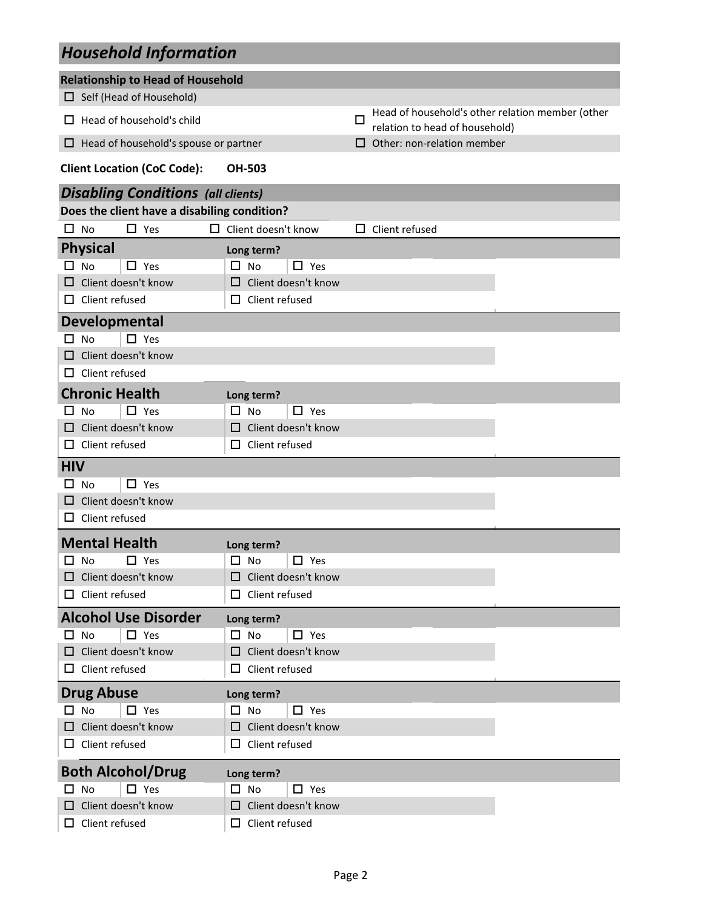## *Household Information*

| <b>Relationship to Head of Household</b>     |                               |                                                                                         |
|----------------------------------------------|-------------------------------|-----------------------------------------------------------------------------------------|
| $\Box$ Self (Head of Household)              |                               |                                                                                         |
| Head of household's child<br>ப               |                               | Head of household's other relation member (other<br>□<br>relation to head of household) |
| Head of household's spouse or partner<br>ப   |                               | Other: non-relation member<br>$\mathsf{L}$                                              |
| <b>Client Location (CoC Code):</b>           | <b>OH-503</b>                 |                                                                                         |
| <b>Disabling Conditions (all clients)</b>    |                               |                                                                                         |
| Does the client have a disabiling condition? |                               |                                                                                         |
| No<br>$\Box$ Yes<br>$\Box$                   | $\Box$ Client doesn't know    | Client refused<br>$\mathsf{L}$                                                          |
| <b>Physical</b>                              | Long term?                    |                                                                                         |
| $\Box$ No<br>$\Box$ Yes                      | $\Box$ No<br>$\Box$ Yes       |                                                                                         |
| Client doesn't know<br>O                     | Client doesn't know<br>□      |                                                                                         |
| $\Box$ Client refused                        | $\Box$ Client refused         |                                                                                         |
| <b>Developmental</b>                         |                               |                                                                                         |
| <b>No</b><br>$\Box$ Yes<br>П                 |                               |                                                                                         |
| Client doesn't know<br>ப                     |                               |                                                                                         |
| Client refused<br>ப                          |                               |                                                                                         |
| <b>Chronic Health</b>                        | Long term?                    |                                                                                         |
| $\Box$ Yes<br><b>No</b>                      | $\square$ No<br>$\Box$ Yes    |                                                                                         |
| Client doesn't know                          | Client doesn't know<br>$\Box$ |                                                                                         |
| Client refused<br>ப                          | Client refused<br>□           |                                                                                         |
| <b>HIV</b>                                   |                               |                                                                                         |
| $\Box$ Yes<br><b>No</b><br>□                 |                               |                                                                                         |
| Client doesn't know<br>□                     |                               |                                                                                         |
| Client refused<br>ப                          |                               |                                                                                         |
| <b>Mental Health</b>                         | Long term?                    |                                                                                         |
| $\Box$ Yes<br>No                             | $\Box$ Yes<br>ப<br>No         |                                                                                         |
| $\Box$ Client doesn't know                   | □ Client doesn't know         |                                                                                         |
| $\Box$ Client refused                        | $\Box$ Client refused         |                                                                                         |
| <b>Alcohol Use Disorder</b>                  | Long term?                    |                                                                                         |
| $\Box$ Yes<br>$\Box$ No                      | $\Box$ No<br>$\Box$ Yes       |                                                                                         |
| $\Box$ Client doesn't know                   | $\Box$ Client doesn't know    |                                                                                         |
| $\Box$ Client refused                        | $\Box$ Client refused         |                                                                                         |
| <b>Drug Abuse</b>                            | Long term?                    |                                                                                         |
| $\Box$ No<br>$\Box$ Yes                      | $\Box$ No<br>$\Box$ Yes       |                                                                                         |
| $\Box$ Client doesn't know                   | $\Box$ Client doesn't know    |                                                                                         |
| $\Box$ Client refused                        | Client refused<br>□           |                                                                                         |
| <b>Both Alcohol/Drug</b>                     | Long term?                    |                                                                                         |
| $\Box$ Yes<br><b>No</b><br>$\Box$            | $\Box$ Yes<br>$\Box$ No       |                                                                                         |
| Client doesn't know<br>ப                     | $\Box$ Client doesn't know    |                                                                                         |
| $\Box$ Client refused                        | $\Box$ Client refused         |                                                                                         |